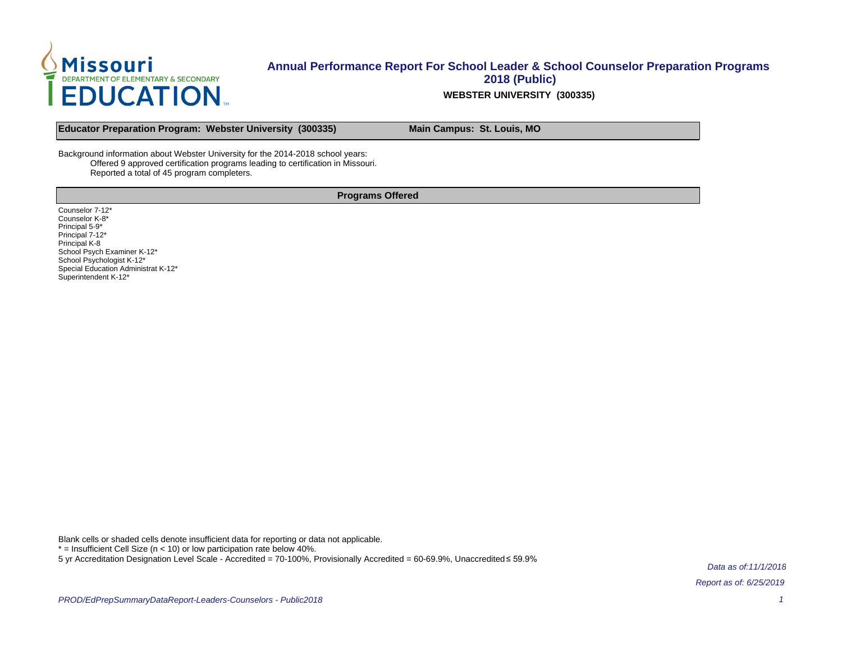

#### **Annual Performance Report For School Leader & School Counselor Preparation Programs 2018 (Public) WEBSTER UNIVERSITY (300335)**

**Educator Preparation Program: Webster University (300335) Main Campus: St. Louis, MO**

Background information about Webster University for the 2014-2018 school years: Offered 9 approved certification programs leading to certification in Missouri. Reported a total of 45 program completers.

**Programs Offered**

Counselor 7-12\* Counselor K-8\* Principal 5-9\* Principal 7-12\* Principal K-8 School Psych Examiner K-12\* School Psychologist K-12\* Special Education Administrat K-12\* Superintendent K-12\*

Blank cells or shaded cells denote insufficient data for reporting or data not applicable.

 $*$  = Insufficient Cell Size (n < 10) or low participation rate below 40%.

5 yr Accreditation Designation Level Scale - Accredited = 70-100%, Provisionally Accredited = 60-69.9%, Unaccredited ≤ 59.9%

Data as of:11/1/2018 Report as of: 6/25/2019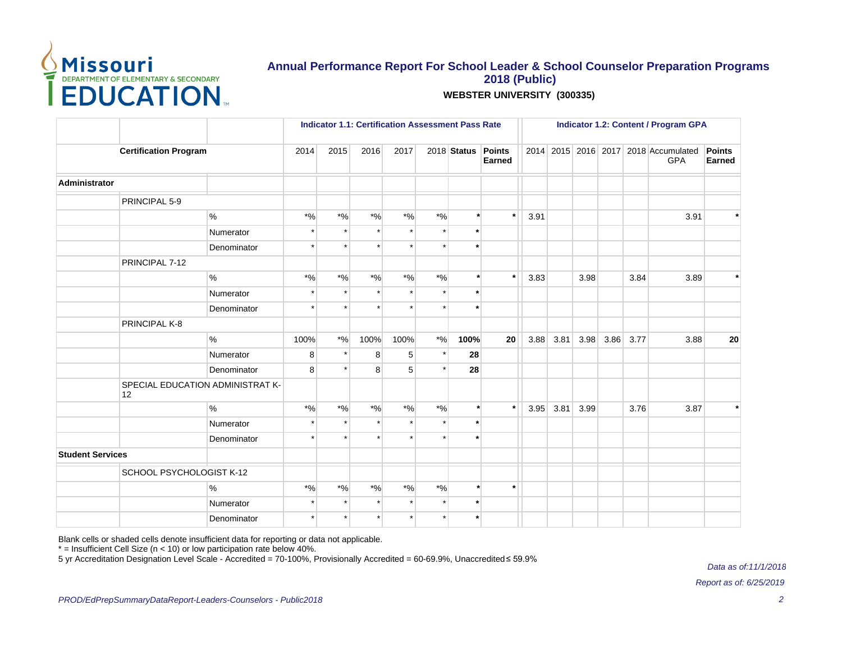

# **Annual Performance Report For School Leader & School Counselor Preparation Programs 2018 (Public)**

#### **WEBSTER UNIVERSITY (300335)**

|                              |                                        |             | <b>Indicator 1.1: Certification Assessment Pass Rate</b> |                    |              |              |                    |                      |                 | <b>Indicator 1.2: Content / Program GPA</b> |      |      |      |      |                                             |                  |
|------------------------------|----------------------------------------|-------------|----------------------------------------------------------|--------------------|--------------|--------------|--------------------|----------------------|-----------------|---------------------------------------------|------|------|------|------|---------------------------------------------|------------------|
| <b>Certification Program</b> |                                        |             | 2014                                                     | 2015               | 2016         | 2017         |                    | 2018 Status Points   | Earned          |                                             |      |      |      |      | 2014 2015 2016 2017 2018 Accumulated<br>GPA | Points<br>Earned |
| Administrator                |                                        |             |                                                          |                    |              |              |                    |                      |                 |                                             |      |      |      |      |                                             |                  |
|                              | PRINCIPAL 5-9                          |             |                                                          |                    |              |              |                    |                      |                 |                                             |      |      |      |      |                                             |                  |
|                              |                                        | $\%$        | $*9/6$                                                   | $\boldsymbol{*}$ % | $*9/6$       | $^{\ast}$ %  | $*9/6$             | $\star$              | $\star$         | 3.91                                        |      |      |      |      | 3.91                                        | $\pmb{\ast}$     |
|                              |                                        | Numerator   | $\star$                                                  |                    | $\star$      |              | $\star$            | $\star$              |                 |                                             |      |      |      |      |                                             |                  |
|                              |                                        | Denominator | $\star$                                                  |                    |              |              | $\star$            | $\ddot{\phantom{1}}$ |                 |                                             |      |      |      |      |                                             |                  |
|                              | PRINCIPAL 7-12                         |             |                                                          |                    |              |              |                    |                      |                 |                                             |      |      |      |      |                                             |                  |
|                              |                                        | $\%$        | $*9/6$                                                   | $*9/6$             | $^{\star}$ % | $^{\star}$ % | $\boldsymbol{*}$ % | $\star$              | $\star$         | 3.83                                        |      | 3.98 |      | 3.84 | 3.89                                        | $\star$          |
|                              |                                        | Numerator   | $\star$                                                  |                    |              |              | $\star$            | $\star$              |                 |                                             |      |      |      |      |                                             |                  |
|                              |                                        | Denominator | $\star$                                                  |                    |              |              | $\star$            | $\star$              |                 |                                             |      |      |      |      |                                             |                  |
|                              | PRINCIPAL K-8                          |             |                                                          |                    |              |              |                    |                      |                 |                                             |      |      |      |      |                                             |                  |
|                              |                                        | $\%$        | 100%                                                     | $^{\ast}$ %        | 100%         | 100%         | ${}^{\star}$ %     | 100%                 | 20 <sup>°</sup> | 3.88                                        | 3.81 | 3.98 | 3.86 | 3.77 | 3.88                                        | 20               |
|                              |                                        | Numerator   | 8                                                        |                    | 8            | 5            | $\star$            | 28                   |                 |                                             |      |      |      |      |                                             |                  |
|                              |                                        | Denominator | 8                                                        |                    | 8            | 5            | $\star$            | 28                   |                 |                                             |      |      |      |      |                                             |                  |
|                              | SPECIAL EDUCATION ADMINISTRAT K-<br>12 |             |                                                          |                    |              |              |                    |                      |                 |                                             |      |      |      |      |                                             |                  |
|                              |                                        | $\%$        | $*9/6$                                                   | $\boldsymbol{*}$ % | $^{\star}$ % | $^{\star}$ % | $\boldsymbol{*}$ % | $\star$              | $\star$         | 3.95                                        | 3.81 | 3.99 |      | 3.76 | 3.87                                        | $\pmb{\ast}$     |
|                              |                                        | Numerator   | $\star$                                                  |                    | $\star$      | $\star$      | $\star$            | $\star$              |                 |                                             |      |      |      |      |                                             |                  |
|                              |                                        | Denominator | $\star$                                                  |                    |              |              | $\star$            | $\star$              |                 |                                             |      |      |      |      |                                             |                  |
| <b>Student Services</b>      |                                        |             |                                                          |                    |              |              |                    |                      |                 |                                             |      |      |      |      |                                             |                  |
|                              | SCHOOL PSYCHOLOGIST K-12               |             |                                                          |                    |              |              |                    |                      |                 |                                             |      |      |      |      |                                             |                  |
|                              |                                        | %           | $*9/6$                                                   | $*9/6$             | $*$ %        | $^{\star}$ % | $^{\star}$ %       | $\star$              | $\star$         |                                             |      |      |      |      |                                             |                  |
|                              |                                        | Numerator   | $\star$                                                  |                    |              |              | $\star$            | $\star$              |                 |                                             |      |      |      |      |                                             |                  |
|                              |                                        | Denominator | $\star$                                                  |                    | $\star$      |              | $\star$            | $\star$              |                 |                                             |      |      |      |      |                                             |                  |

Blank cells or shaded cells denote insufficient data for reporting or data not applicable.

 $*$  = Insufficient Cell Size ( $n$  < 10) or low participation rate below 40%.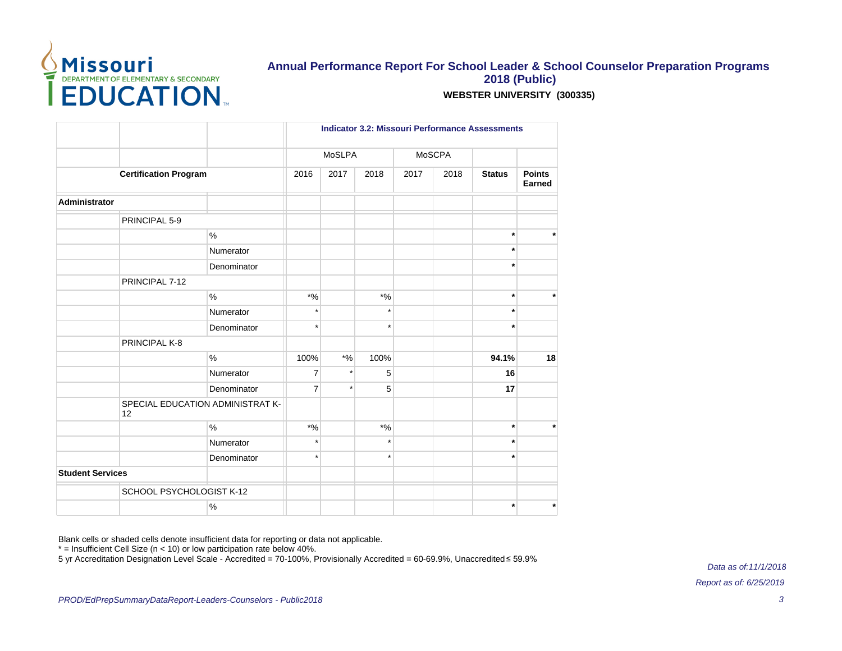

#### **Annual Performance Report For School Leader & School Counselor Preparation Programs 2018 (Public) WEBSTER UNIVERSITY (300335)**

|                              |                                        |               | <b>Indicator 3.2: Missouri Performance Assessments</b> |         |                    |        |               |                         |         |  |  |  |  |
|------------------------------|----------------------------------------|---------------|--------------------------------------------------------|---------|--------------------|--------|---------------|-------------------------|---------|--|--|--|--|
|                              |                                        | MoSLPA        |                                                        |         |                    | MoSCPA |               |                         |         |  |  |  |  |
| <b>Certification Program</b> |                                        | 2016          | 2017                                                   | 2018    | 2017               | 2018   | <b>Status</b> | <b>Points</b><br>Earned |         |  |  |  |  |
| Administrator                |                                        |               |                                                        |         |                    |        |               |                         |         |  |  |  |  |
|                              | PRINCIPAL 5-9                          |               |                                                        |         |                    |        |               |                         |         |  |  |  |  |
|                              |                                        | $\frac{0}{0}$ |                                                        |         |                    |        |               | $\star$                 | $\star$ |  |  |  |  |
|                              |                                        | Numerator     |                                                        |         |                    |        |               | $\star$                 |         |  |  |  |  |
|                              |                                        | Denominator   |                                                        |         |                    |        |               | $\star$                 |         |  |  |  |  |
|                              | PRINCIPAL 7-12                         |               |                                                        |         |                    |        |               |                         |         |  |  |  |  |
|                              |                                        | $\%$          | $^{\star}$ %                                           |         | $\boldsymbol{*}$ % |        |               | $\star$                 | $\star$ |  |  |  |  |
|                              |                                        | Numerator     | $\star$                                                |         | $\star$            |        |               | $\star$                 |         |  |  |  |  |
|                              |                                        | Denominator   | $\star$                                                |         | $\star$            |        |               | $\star$                 |         |  |  |  |  |
|                              | PRINCIPAL K-8                          |               |                                                        |         |                    |        |               |                         |         |  |  |  |  |
|                              |                                        | $\frac{0}{0}$ | 100%                                                   | $*9/6$  | 100%               |        |               | 94.1%                   | 18      |  |  |  |  |
|                              |                                        | Numerator     | 7                                                      | $\star$ | 5                  |        |               | 16                      |         |  |  |  |  |
|                              |                                        | Denominator   | $\overline{7}$                                         | $\star$ | 5                  |        |               | 17                      |         |  |  |  |  |
|                              | SPECIAL EDUCATION ADMINISTRAT K-<br>12 |               |                                                        |         |                    |        |               |                         |         |  |  |  |  |
|                              |                                        | $\frac{0}{0}$ | $*9/6$                                                 |         | $^{\ast}$ %        |        |               | $\star$                 | $\star$ |  |  |  |  |
|                              |                                        | Numerator     | $\star$                                                |         | $\star$            |        |               | $\star$                 |         |  |  |  |  |
|                              |                                        | Denominator   | $\star$                                                |         | $\star$            |        |               | $\star$                 |         |  |  |  |  |
| <b>Student Services</b>      |                                        |               |                                                        |         |                    |        |               |                         |         |  |  |  |  |
|                              | SCHOOL PSYCHOLOGIST K-12               |               |                                                        |         |                    |        |               |                         |         |  |  |  |  |
|                              |                                        | %             |                                                        |         |                    |        |               | $\star$                 | $\ast$  |  |  |  |  |

Blank cells or shaded cells denote insufficient data for reporting or data not applicable.

 $*$  = Insufficient Cell Size (n < 10) or low participation rate below 40%.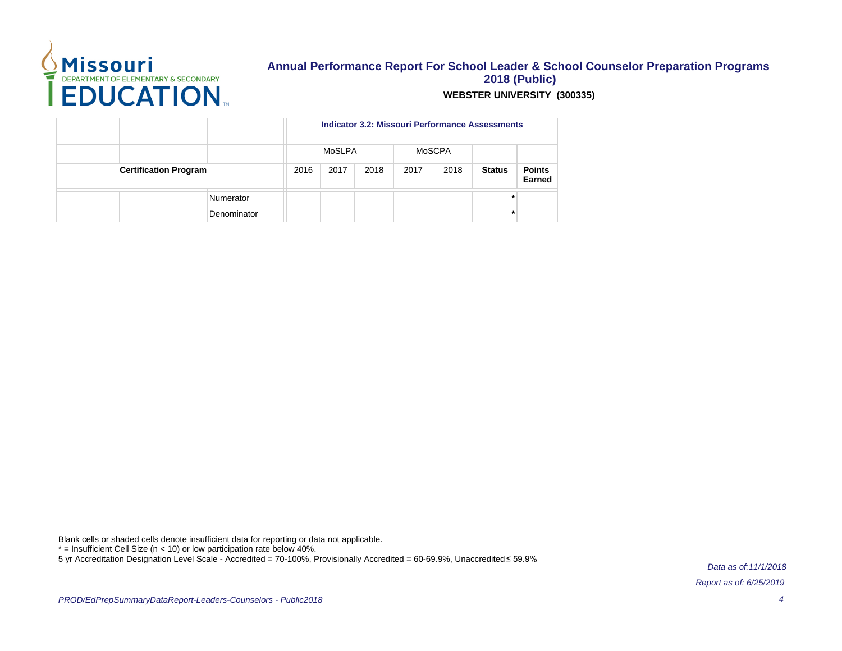

#### **Annual Performance Report For School Leader & School Counselor Preparation Programs 2018 (Public) WEBSTER UNIVERSITY (300335)**

|                              |             | <b>Indicator 3.2: Missouri Performance Assessments</b> |        |      |      |               |               |                         |  |  |  |  |  |
|------------------------------|-------------|--------------------------------------------------------|--------|------|------|---------------|---------------|-------------------------|--|--|--|--|--|
|                              |             |                                                        | MoSLPA |      |      | <b>MoSCPA</b> |               |                         |  |  |  |  |  |
| <b>Certification Program</b> |             |                                                        | 2017   | 2018 | 2017 | 2018          | <b>Status</b> | <b>Points</b><br>Earned |  |  |  |  |  |
|                              | Numerator   |                                                        |        |      |      |               | $\star$       |                         |  |  |  |  |  |
|                              | Denominator |                                                        |        |      |      |               | $\star$       |                         |  |  |  |  |  |

Blank cells or shaded cells denote insufficient data for reporting or data not applicable.

 $*$  = Insufficient Cell Size (n < 10) or low participation rate below 40%.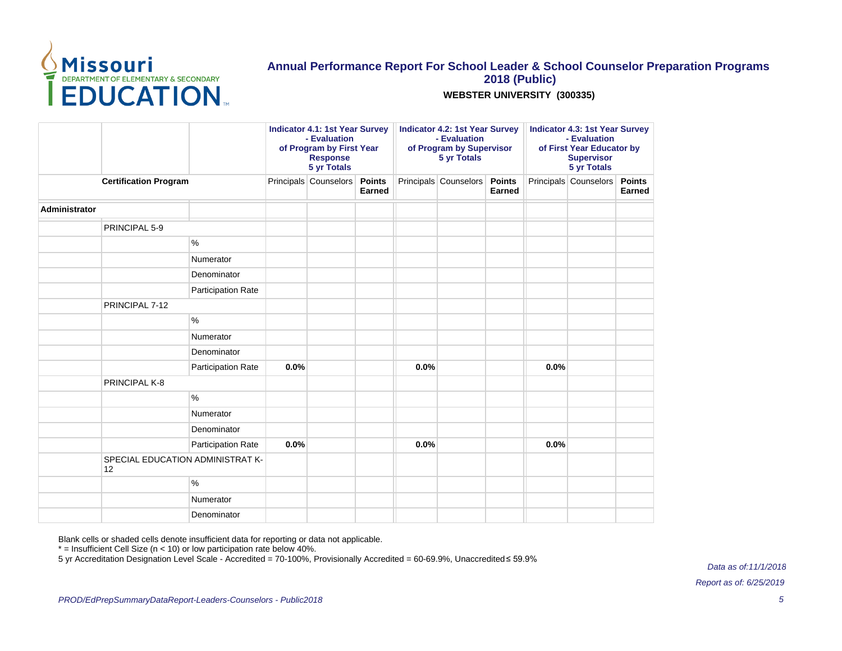

## **Annual Performance Report For School Leader & School Counselor Preparation Programs 2018 (Public)**

**WEBSTER UNIVERSITY (300335)**

|                              |                                        |                    | <b>Indicator 4.1: 1st Year Survey</b><br>- Evaluation<br>of Program by First Year<br><b>Response</b><br>5 yr Totals |                         |  |                       | <b>Indicator 4.2: 1st Year Survey</b><br>- Evaluation<br>of Program by Supervisor<br><b>5 yr Totals</b> |  | <b>Indicator 4.3: 1st Year Survey</b><br>- Evaluation<br>of First Year Educator by<br><b>Supervisor</b><br>5 yr Totals |                         |  |  |
|------------------------------|----------------------------------------|--------------------|---------------------------------------------------------------------------------------------------------------------|-------------------------|--|-----------------------|---------------------------------------------------------------------------------------------------------|--|------------------------------------------------------------------------------------------------------------------------|-------------------------|--|--|
| <b>Certification Program</b> |                                        |                    | Principals Counselors                                                                                               | <b>Points</b><br>Earned |  | Principals Counselors | <b>Points</b><br><b>Earned</b>                                                                          |  | Principals Counselors                                                                                                  | <b>Points</b><br>Earned |  |  |
| Administrator                |                                        |                    |                                                                                                                     |                         |  |                       |                                                                                                         |  |                                                                                                                        |                         |  |  |
|                              | PRINCIPAL 5-9                          |                    |                                                                                                                     |                         |  |                       |                                                                                                         |  |                                                                                                                        |                         |  |  |
|                              |                                        | $\%$               |                                                                                                                     |                         |  |                       |                                                                                                         |  |                                                                                                                        |                         |  |  |
|                              |                                        | Numerator          |                                                                                                                     |                         |  |                       |                                                                                                         |  |                                                                                                                        |                         |  |  |
|                              |                                        | Denominator        |                                                                                                                     |                         |  |                       |                                                                                                         |  |                                                                                                                        |                         |  |  |
|                              |                                        | Participation Rate |                                                                                                                     |                         |  |                       |                                                                                                         |  |                                                                                                                        |                         |  |  |
|                              | PRINCIPAL 7-12                         |                    |                                                                                                                     |                         |  |                       |                                                                                                         |  |                                                                                                                        |                         |  |  |
|                              |                                        | $\%$               |                                                                                                                     |                         |  |                       |                                                                                                         |  |                                                                                                                        |                         |  |  |
|                              |                                        | Numerator          |                                                                                                                     |                         |  |                       |                                                                                                         |  |                                                                                                                        |                         |  |  |
|                              |                                        | Denominator        |                                                                                                                     |                         |  |                       |                                                                                                         |  |                                                                                                                        |                         |  |  |
|                              |                                        | Participation Rate | 0.0%                                                                                                                |                         |  | 0.0%                  |                                                                                                         |  | 0.0%                                                                                                                   |                         |  |  |
|                              | PRINCIPAL K-8                          |                    |                                                                                                                     |                         |  |                       |                                                                                                         |  |                                                                                                                        |                         |  |  |
|                              |                                        | $\%$               |                                                                                                                     |                         |  |                       |                                                                                                         |  |                                                                                                                        |                         |  |  |
|                              |                                        | Numerator          |                                                                                                                     |                         |  |                       |                                                                                                         |  |                                                                                                                        |                         |  |  |
|                              |                                        | Denominator        |                                                                                                                     |                         |  |                       |                                                                                                         |  |                                                                                                                        |                         |  |  |
|                              |                                        | Participation Rate | 0.0%                                                                                                                |                         |  | 0.0%                  |                                                                                                         |  | 0.0%                                                                                                                   |                         |  |  |
|                              | SPECIAL EDUCATION ADMINISTRAT K-<br>12 |                    |                                                                                                                     |                         |  |                       |                                                                                                         |  |                                                                                                                        |                         |  |  |
|                              |                                        | $\%$               |                                                                                                                     |                         |  |                       |                                                                                                         |  |                                                                                                                        |                         |  |  |
|                              |                                        | Numerator          |                                                                                                                     |                         |  |                       |                                                                                                         |  |                                                                                                                        |                         |  |  |
|                              |                                        | Denominator        |                                                                                                                     |                         |  |                       |                                                                                                         |  |                                                                                                                        |                         |  |  |

Blank cells or shaded cells denote insufficient data for reporting or data not applicable.

 $*$  = Insufficient Cell Size ( $n$  < 10) or low participation rate below 40%.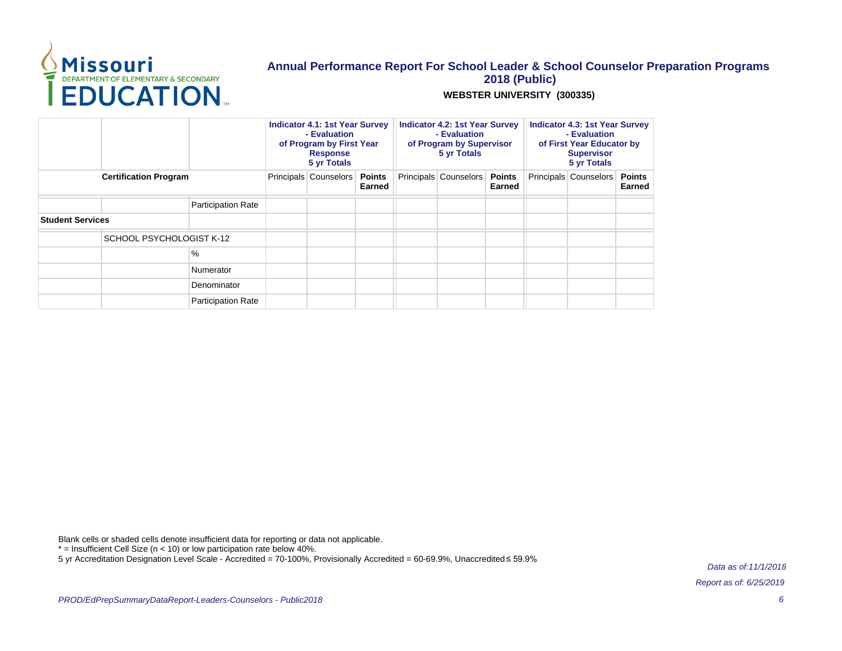

## **Annual Performance Report For School Leader & School Counselor Preparation Programs 2018 (Public)**

**WEBSTER UNIVERSITY (300335)**

|                              |                          |                           | <b>Indicator 4.1: 1st Year Survey</b><br>- Evaluation<br>of Program by First Year<br><b>Response</b><br>5 yr Totals |                       | <b>Indicator 4.2: 1st Year Survey</b><br>- Evaluation<br>of Program by Supervisor<br>5 yr Totals |  | <b>Indicator 4.3: 1st Year Survey</b><br>- Evaluation<br>of First Year Educator by<br><b>Supervisor</b><br>5 yr Totals |                         |  |  |
|------------------------------|--------------------------|---------------------------|---------------------------------------------------------------------------------------------------------------------|-----------------------|--------------------------------------------------------------------------------------------------|--|------------------------------------------------------------------------------------------------------------------------|-------------------------|--|--|
| <b>Certification Program</b> |                          | Principals Counselors     | <b>Points</b><br>Earned                                                                                             | Principals Counselors | <b>Points</b><br>Earned                                                                          |  | Principals Counselors                                                                                                  | <b>Points</b><br>Earned |  |  |
|                              |                          | Participation Rate        |                                                                                                                     |                       |                                                                                                  |  |                                                                                                                        |                         |  |  |
|                              | <b>Student Services</b>  |                           |                                                                                                                     |                       |                                                                                                  |  |                                                                                                                        |                         |  |  |
|                              | SCHOOL PSYCHOLOGIST K-12 |                           |                                                                                                                     |                       |                                                                                                  |  |                                                                                                                        |                         |  |  |
|                              |                          | %                         |                                                                                                                     |                       |                                                                                                  |  |                                                                                                                        |                         |  |  |
|                              |                          | Numerator                 |                                                                                                                     |                       |                                                                                                  |  |                                                                                                                        |                         |  |  |
|                              |                          | Denominator               |                                                                                                                     |                       |                                                                                                  |  |                                                                                                                        |                         |  |  |
|                              |                          | <b>Participation Rate</b> |                                                                                                                     |                       |                                                                                                  |  |                                                                                                                        |                         |  |  |

Blank cells or shaded cells denote insufficient data for reporting or data not applicable.

 $*$  = Insufficient Cell Size (n < 10) or low participation rate below 40%.

5 yr Accreditation Designation Level Scale - Accredited = 70-100%, Provisionally Accredited = 60-69.9%, Unaccredited ≤ 59.9%

Data as of:11/1/2018 Report as of: 6/25/2019